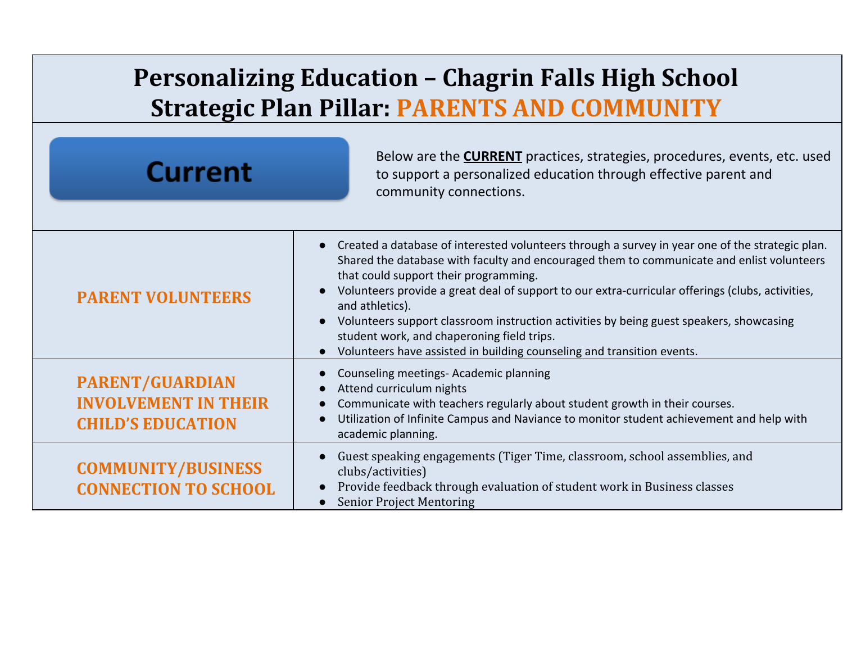## **Personalizing Education – Chagrin Falls High School Strategic Plan Pillar: PARENTS AND COMMUNITY**

| <b>Current</b>                                                                    | Below are the <b>CURRENT</b> practices, strategies, procedures, events, etc. used<br>to support a personalized education through effective parent and<br>community connections.                                                                                                                                                                                                                                                                                                                                                                                                              |
|-----------------------------------------------------------------------------------|----------------------------------------------------------------------------------------------------------------------------------------------------------------------------------------------------------------------------------------------------------------------------------------------------------------------------------------------------------------------------------------------------------------------------------------------------------------------------------------------------------------------------------------------------------------------------------------------|
| <b>PARENT VOLUNTEERS</b>                                                          | Created a database of interested volunteers through a survey in year one of the strategic plan.<br>Shared the database with faculty and encouraged them to communicate and enlist volunteers<br>that could support their programming.<br>Volunteers provide a great deal of support to our extra-curricular offerings (clubs, activities,<br>and athletics).<br>Volunteers support classroom instruction activities by being guest speakers, showcasing<br>$\bullet$<br>student work, and chaperoning field trips.<br>Volunteers have assisted in building counseling and transition events. |
| <b>PARENT/GUARDIAN</b><br><b>INVOLVEMENT IN THEIR</b><br><b>CHILD'S EDUCATION</b> | Counseling meetings- Academic planning<br>Attend curriculum nights<br>Communicate with teachers regularly about student growth in their courses.<br>Utilization of Infinite Campus and Naviance to monitor student achievement and help with<br>academic planning.                                                                                                                                                                                                                                                                                                                           |
| <b>COMMUNITY/BUSINESS</b><br><b>CONNECTION TO SCHOOL</b>                          | Guest speaking engagements (Tiger Time, classroom, school assemblies, and<br>clubs/activities)<br>Provide feedback through evaluation of student work in Business classes<br>$\bullet$<br><b>Senior Project Mentoring</b>                                                                                                                                                                                                                                                                                                                                                                    |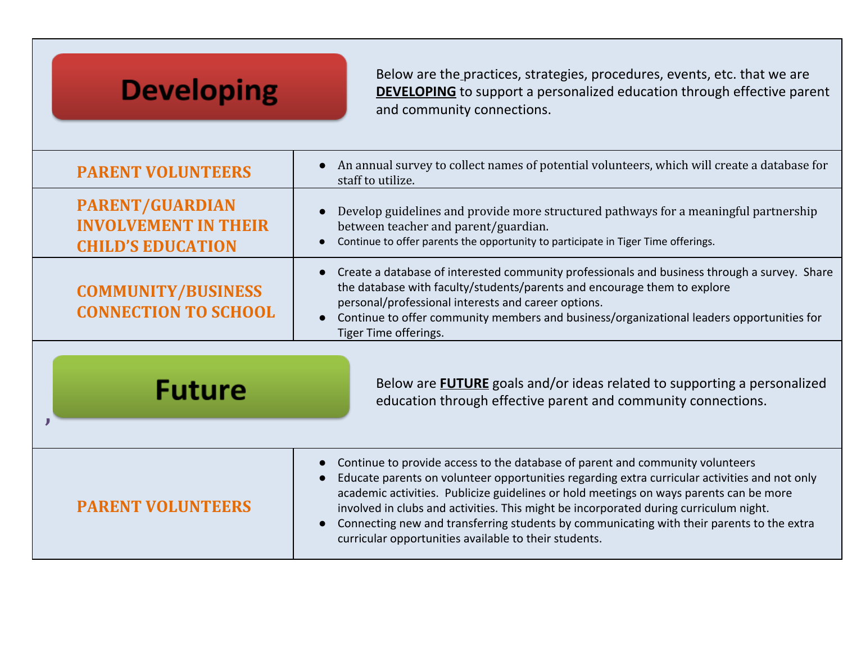## **Developing**

Below are the practices, strategies, procedures, events, etc. that we are **DEVELOPING** to support a personalized education through effective parent and community connections.

| <b>PARENT VOLUNTEERS</b>                                                          | An annual survey to collect names of potential volunteers, which will create a database for<br>staff to utilize.                                                                                                                                                                                                                                                                                                                                                                                                        |
|-----------------------------------------------------------------------------------|-------------------------------------------------------------------------------------------------------------------------------------------------------------------------------------------------------------------------------------------------------------------------------------------------------------------------------------------------------------------------------------------------------------------------------------------------------------------------------------------------------------------------|
| <b>PARENT/GUARDIAN</b><br><b>INVOLVEMENT IN THEIR</b><br><b>CHILD'S EDUCATION</b> | Develop guidelines and provide more structured pathways for a meaningful partnership<br>between teacher and parent/guardian.<br>Continue to offer parents the opportunity to participate in Tiger Time offerings.                                                                                                                                                                                                                                                                                                       |
| <b>COMMUNITY/BUSINESS</b><br><b>CONNECTION TO SCHOOL</b>                          | Create a database of interested community professionals and business through a survey. Share<br>$\bullet$<br>the database with faculty/students/parents and encourage them to explore<br>personal/professional interests and career options.<br>Continue to offer community members and business/organizational leaders opportunities for<br>Tiger Time offerings.                                                                                                                                                      |
| <b>Future</b>                                                                     | Below are <b>FUTURE</b> goals and/or ideas related to supporting a personalized<br>education through effective parent and community connections.                                                                                                                                                                                                                                                                                                                                                                        |
| <b>PARENT VOLUNTEERS</b>                                                          | Continue to provide access to the database of parent and community volunteers<br>Educate parents on volunteer opportunities regarding extra curricular activities and not only<br>academic activities. Publicize guidelines or hold meetings on ways parents can be more<br>involved in clubs and activities. This might be incorporated during curriculum night.<br>Connecting new and transferring students by communicating with their parents to the extra<br>curricular opportunities available to their students. |